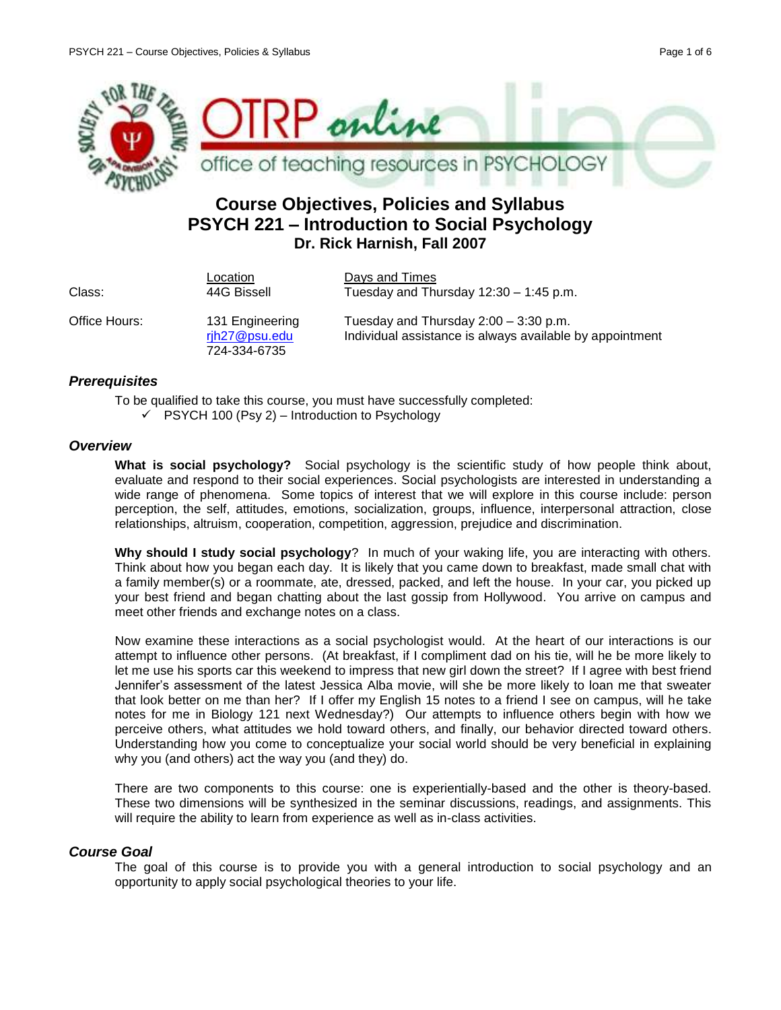

# **Course Objectives, Policies and Syllabus PSYCH 221 – Introduction to Social Psychology Dr. Rick Harnish, Fall 2007**

| Class:        | Location<br>44G Bissell                          | Days and Times<br>Tuesday and Thursday $12:30 - 1:45$ p.m.                                          |
|---------------|--------------------------------------------------|-----------------------------------------------------------------------------------------------------|
| Office Hours: | 131 Engineering<br>rjh27@psu.edu<br>724-334-6735 | Tuesday and Thursday $2:00 - 3:30$ p.m.<br>Individual assistance is always available by appointment |

# *Prerequisites*

To be qualified to take this course, you must have successfully completed:  $\checkmark$  PSYCH 100 (Psy 2) – Introduction to Psychology

## *Overview*

**What is social psychology?** Social psychology is the scientific study of how people think about, evaluate and respond to their social experiences. Social psychologists are interested in understanding a wide range of phenomena. Some topics of interest that we will explore in this course include: person perception, the self, attitudes, emotions, socialization, groups, influence, interpersonal attraction, close relationships, altruism, cooperation, competition, aggression, prejudice and discrimination.

**Why should I study social psychology**? In much of your waking life, you are interacting with others. Think about how you began each day. It is likely that you came down to breakfast, made small chat with a family member(s) or a roommate, ate, dressed, packed, and left the house. In your car, you picked up your best friend and began chatting about the last gossip from Hollywood. You arrive on campus and meet other friends and exchange notes on a class.

Now examine these interactions as a social psychologist would. At the heart of our interactions is our attempt to influence other persons. (At breakfast, if I compliment dad on his tie, will he be more likely to let me use his sports car this weekend to impress that new girl down the street? If I agree with best friend Jennifer's assessment of the latest Jessica Alba movie, will she be more likely to loan me that sweater that look better on me than her? If I offer my English 15 notes to a friend I see on campus, will he take notes for me in Biology 121 next Wednesday?) Our attempts to influence others begin with how we perceive others, what attitudes we hold toward others, and finally, our behavior directed toward others. Understanding how you come to conceptualize your social world should be very beneficial in explaining why you (and others) act the way you (and they) do.

There are two components to this course: one is experientially-based and the other is theory-based. These two dimensions will be synthesized in the seminar discussions, readings, and assignments. This will require the ability to learn from experience as well as in-class activities.

# *Course Goal*

The goal of this course is to provide you with a general introduction to social psychology and an opportunity to apply social psychological theories to your life.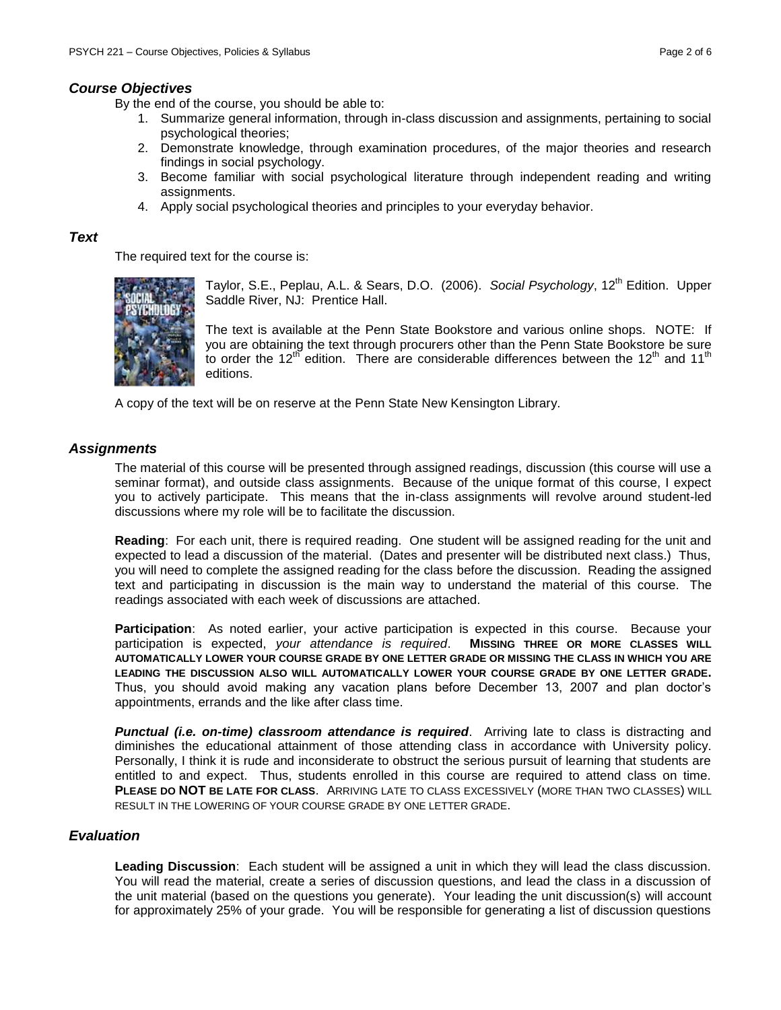# *Course Objectives*

By the end of the course, you should be able to:

- 1. Summarize general information, through in-class discussion and assignments, pertaining to social psychological theories;
- 2. Demonstrate knowledge, through examination procedures, of the major theories and research findings in social psychology.
- 3. Become familiar with social psychological literature through independent reading and writing assignments.
- 4. Apply social psychological theories and principles to your everyday behavior.

## *Text*

The required text for the course is:



Taylor, S.E., Peplau, A.L. & Sears, D.O. (2006). Social Psychology, 12<sup>th</sup> Edition. Upper Saddle River, NJ: Prentice Hall.

The text is available at the Penn State Bookstore and various online shops. NOTE: If you are obtaining the text through procurers other than the Penn State Bookstore be sure to order the 12<sup>th</sup> edition. There are considerable differences between the 12<sup>th</sup> and 11<sup>th</sup> editions.

A copy of the text will be on reserve at the Penn State New Kensington Library.

# *Assignments*

The material of this course will be presented through assigned readings, discussion (this course will use a seminar format), and outside class assignments. Because of the unique format of this course, I expect you to actively participate. This means that the in-class assignments will revolve around student-led discussions where my role will be to facilitate the discussion.

**Reading**: For each unit, there is required reading. One student will be assigned reading for the unit and expected to lead a discussion of the material. (Dates and presenter will be distributed next class.) Thus, you will need to complete the assigned reading for the class before the discussion. Reading the assigned text and participating in discussion is the main way to understand the material of this course. The readings associated with each week of discussions are attached.

**Participation**: As noted earlier, your active participation is expected in this course. Because your participation is expected, *your attendance is required*. **MISSING THREE OR MORE CLASSES WILL AUTOMATICALLY LOWER YOUR COURSE GRADE BY ONE LETTER GRADE OR MISSING THE CLASS IN WHICH YOU ARE LEADING THE DISCUSSION ALSO WILL AUTOMATICALLY LOWER YOUR COURSE GRADE BY ONE LETTER GRADE.** Thus, you should avoid making any vacation plans before December 13, 2007 and plan doctor's appointments, errands and the like after class time.

**Punctual (i.e. on-time) classroom attendance is required.** Arriving late to class is distracting and diminishes the educational attainment of those attending class in accordance with University policy. Personally, I think it is rude and inconsiderate to obstruct the serious pursuit of learning that students are entitled to and expect. Thus, students enrolled in this course are required to attend class on time. **PLEASE DO NOT BE LATE FOR CLASS**. ARRIVING LATE TO CLASS EXCESSIVELY (MORE THAN TWO CLASSES) WILL RESULT IN THE LOWERING OF YOUR COURSE GRADE BY ONE LETTER GRADE.

# *Evaluation*

**Leading Discussion**: Each student will be assigned a unit in which they will lead the class discussion. You will read the material, create a series of discussion questions, and lead the class in a discussion of the unit material (based on the questions you generate). Your leading the unit discussion(s) will account for approximately 25% of your grade. You will be responsible for generating a list of discussion questions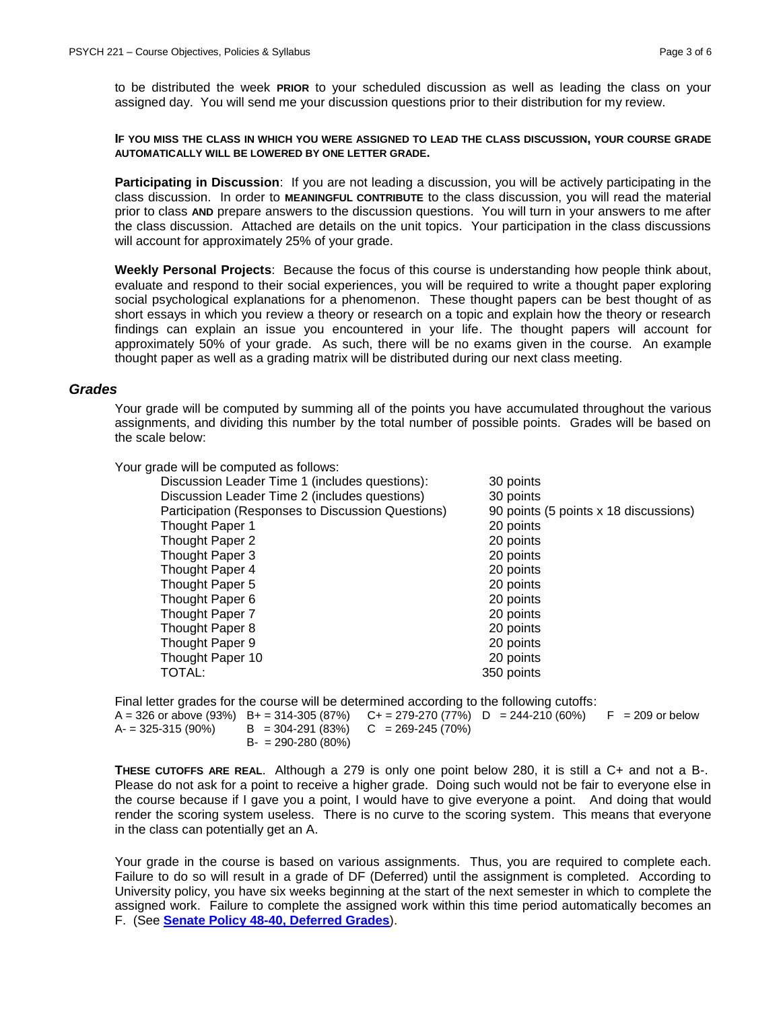to be distributed the week **PRIOR** to your scheduled discussion as well as leading the class on your assigned day. You will send me your discussion questions prior to their distribution for my review.

#### **IF YOU MISS THE CLASS IN WHICH YOU WERE ASSIGNED TO LEAD THE CLASS DISCUSSION, YOUR COURSE GRADE AUTOMATICALLY WILL BE LOWERED BY ONE LETTER GRADE.**

**Participating in Discussion**: If you are not leading a discussion, you will be actively participating in the class discussion. In order to **MEANINGFUL CONTRIBUTE** to the class discussion, you will read the material prior to class **AND** prepare answers to the discussion questions. You will turn in your answers to me after the class discussion. Attached are details on the unit topics. Your participation in the class discussions will account for approximately 25% of your grade.

**Weekly Personal Projects**: Because the focus of this course is understanding how people think about, evaluate and respond to their social experiences, you will be required to write a thought paper exploring social psychological explanations for a phenomenon. These thought papers can be best thought of as short essays in which you review a theory or research on a topic and explain how the theory or research findings can explain an issue you encountered in your life. The thought papers will account for approximately 50% of your grade. As such, there will be no exams given in the course. An example thought paper as well as a grading matrix will be distributed during our next class meeting.

#### *Grades*

Your grade will be computed by summing all of the points you have accumulated throughout the various assignments, and dividing this number by the total number of possible points. Grades will be based on the scale below:

Your grade will be computed as follows:

| Discussion Leader Time 1 (includes questions):    | 30 points                             |
|---------------------------------------------------|---------------------------------------|
| Discussion Leader Time 2 (includes questions)     | 30 points                             |
| Participation (Responses to Discussion Questions) | 90 points (5 points x 18 discussions) |
| Thought Paper 1                                   | 20 points                             |
| Thought Paper 2                                   | 20 points                             |
| Thought Paper 3                                   | 20 points                             |
| Thought Paper 4                                   | 20 points                             |
| Thought Paper 5                                   | 20 points                             |
| Thought Paper 6                                   | 20 points                             |
| Thought Paper 7                                   | 20 points                             |
| Thought Paper 8                                   | 20 points                             |
| Thought Paper 9                                   | 20 points                             |
| Thought Paper 10                                  | 20 points                             |
| TOTAL:                                            | 350 points                            |
|                                                   |                                       |

Final letter grades for the course will be determined according to the following cutoffs:

A = 326 or above (93%) B+ = 314-305 (87%) C+ = 279-270 (77%) D = 244-210 (60%) F = 209 or below<br>A- = 325-315 (90%) B = 304-291 (83%) C = 269-245 (70%)  $B = 304-291 (83%)$   $C = 269-245 (70%)$  $B- = 290-280(80\%)$ 

**THESE CUTOFFS ARE REAL**. Although a 279 is only one point below 280, it is still a C+ and not a B-. Please do not ask for a point to receive a higher grade. Doing such would not be fair to everyone else in the course because if I gave you a point, I would have to give everyone a point. And doing that would render the scoring system useless. There is no curve to the scoring system. This means that everyone in the class can potentially get an A.

Your grade in the course is based on various assignments. Thus, you are required to complete each. Failure to do so will result in a grade of DF (Deferred) until the assignment is completed. According to University policy, you have six weeks beginning at the start of the next semester in which to complete the assigned work. Failure to complete the assigned work within this time period automatically becomes an F. (See **[Senate Policy 48-40, Deferred Grades](http://www.psu.edu/dept/ufs/policies/47-00.html#48-40)**).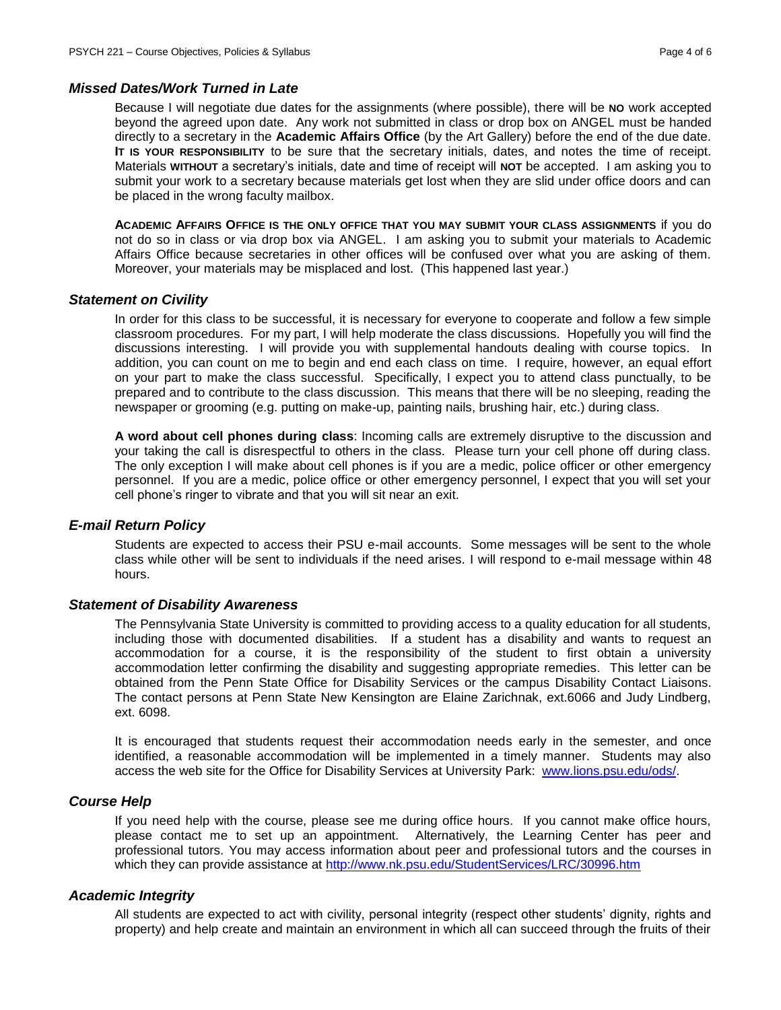#### *Missed Dates/Work Turned in Late*

Because I will negotiate due dates for the assignments (where possible), there will be **NO** work accepted beyond the agreed upon date. Any work not submitted in class or drop box on ANGEL must be handed directly to a secretary in the **Academic Affairs Office** (by the Art Gallery) before the end of the due date. **IT IS YOUR RESPONSIBILITY** to be sure that the secretary initials, dates, and notes the time of receipt. Materials **WITHOUT** a secretary's initials, date and time of receipt will **NOT** be accepted. I am asking you to submit your work to a secretary because materials get lost when they are slid under office doors and can be placed in the wrong faculty mailbox.

**ACADEMIC AFFAIRS OFFICE IS THE ONLY OFFICE THAT YOU MAY SUBMIT YOUR CLASS ASSIGNMENTS** if you do not do so in class or via drop box via ANGEL. I am asking you to submit your materials to Academic Affairs Office because secretaries in other offices will be confused over what you are asking of them. Moreover, your materials may be misplaced and lost. (This happened last year.)

#### *Statement on Civility*

In order for this class to be successful, it is necessary for everyone to cooperate and follow a few simple classroom procedures. For my part, I will help moderate the class discussions. Hopefully you will find the discussions interesting. I will provide you with supplemental handouts dealing with course topics. In addition, you can count on me to begin and end each class on time. I require, however, an equal effort on your part to make the class successful. Specifically, I expect you to attend class punctually, to be prepared and to contribute to the class discussion. This means that there will be no sleeping, reading the newspaper or grooming (e.g. putting on make-up, painting nails, brushing hair, etc.) during class.

**A word about cell phones during class**: Incoming calls are extremely disruptive to the discussion and your taking the call is disrespectful to others in the class. Please turn your cell phone off during class. The only exception I will make about cell phones is if you are a medic, police officer or other emergency personnel. If you are a medic, police office or other emergency personnel, I expect that you will set your cell phone's ringer to vibrate and that you will sit near an exit.

## *E-mail Return Policy*

Students are expected to access their PSU e-mail accounts. Some messages will be sent to the whole class while other will be sent to individuals if the need arises. I will respond to e-mail message within 48 hours.

#### *Statement of Disability Awareness*

The Pennsylvania State University is committed to providing access to a quality education for all students, including those with documented disabilities. If a student has a disability and wants to request an accommodation for a course, it is the responsibility of the student to first obtain a university accommodation letter confirming the disability and suggesting appropriate remedies. This letter can be obtained from the Penn State Office for Disability Services or the campus Disability Contact Liaisons. The contact persons at Penn State New Kensington are Elaine Zarichnak, ext.6066 and Judy Lindberg, ext. 6098.

It is encouraged that students request their accommodation needs early in the semester, and once identified, a reasonable accommodation will be implemented in a timely manner. Students may also access the web site for the Office for Disability Services at University Park: [www.lions.psu.edu/ods/.](http://www.lions.psu.edu/ods/)

#### *Course Help*

If you need help with the course, please see me during office hours. If you cannot make office hours, please contact me to set up an appointment. Alternatively, the Learning Center has peer and professional tutors. You may access information about peer and professional tutors and the courses in which they can provide assistance at<http://www.nk.psu.edu/StudentServices/LRC/30996.htm>

### *Academic Integrity*

All students are expected to act with civility, personal integrity (respect other students' dignity, rights and property) and help create and maintain an environment in which all can succeed through the fruits of their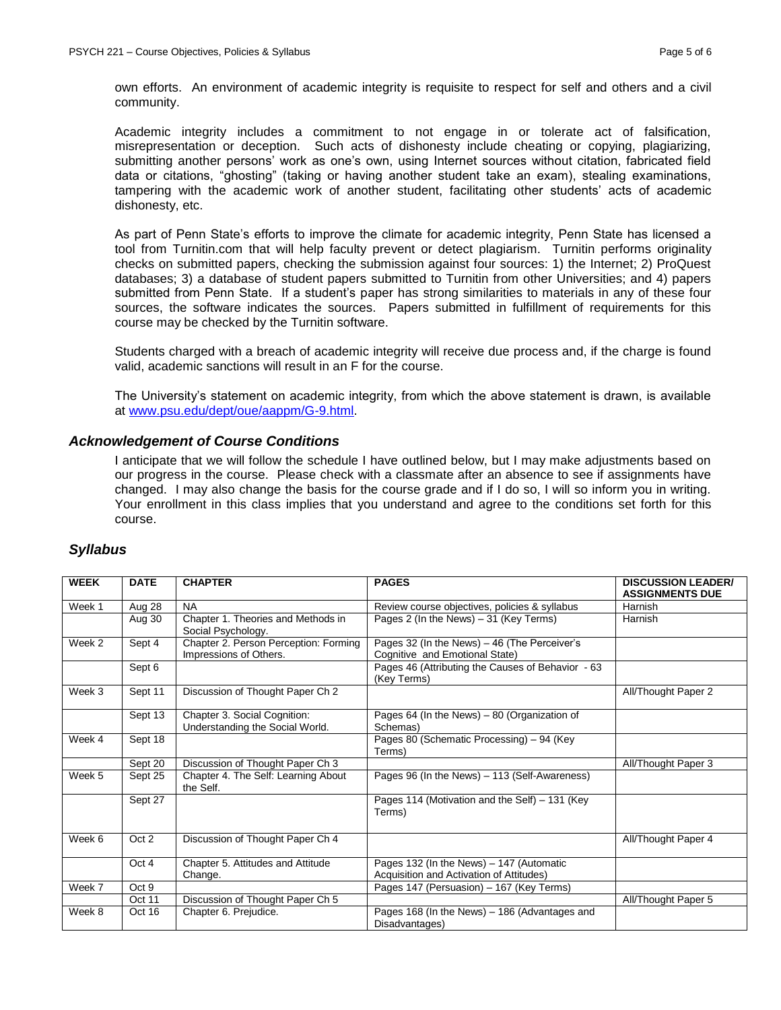own efforts. An environment of academic integrity is requisite to respect for self and others and a civil community.

Academic integrity includes a commitment to not engage in or tolerate act of falsification, misrepresentation or deception. Such acts of dishonesty include cheating or copying, plagiarizing, submitting another persons' work as one's own, using Internet sources without citation, fabricated field data or citations, "ghosting" (taking or having another student take an exam), stealing examinations, tampering with the academic work of another student, facilitating other students' acts of academic dishonesty, etc.

As part of Penn State's efforts to improve the climate for academic integrity, Penn State has licensed a tool from Turnitin.com that will help faculty prevent or detect plagiarism. Turnitin performs originality checks on submitted papers, checking the submission against four sources: 1) the Internet; 2) ProQuest databases; 3) a database of student papers submitted to Turnitin from other Universities; and 4) papers submitted from Penn State. If a student's paper has strong similarities to materials in any of these four sources, the software indicates the sources. Papers submitted in fulfillment of requirements for this course may be checked by the Turnitin software.

Students charged with a breach of academic integrity will receive due process and, if the charge is found valid, academic sanctions will result in an F for the course.

The University's statement on academic integrity, from which the above statement is drawn, is available at [www.psu.edu/dept/oue/aappm/G-9.html.](http://www.psu.edu/dept/oue/aappm/G-9.html)

## *Acknowledgement of Course Conditions*

I anticipate that we will follow the schedule I have outlined below, but I may make adjustments based on our progress in the course. Please check with a classmate after an absence to see if assignments have changed. I may also change the basis for the course grade and if I do so, I will so inform you in writing. Your enrollment in this class implies that you understand and agree to the conditions set forth for this course.

## *Syllabus*

| <b>WEEK</b> | <b>DATE</b> | <b>CHAPTER</b>                                                  | <b>PAGES</b>                                                                         | <b>DISCUSSION LEADER/</b><br><b>ASSIGNMENTS DUE</b> |
|-------------|-------------|-----------------------------------------------------------------|--------------------------------------------------------------------------------------|-----------------------------------------------------|
| Week 1      | Aug 28      | <b>NA</b>                                                       | Review course objectives, policies & syllabus                                        | Harnish                                             |
|             | Aug 30      | Chapter 1. Theories and Methods in<br>Social Psychology.        | Pages 2 (In the News) – 31 (Key Terms)                                               | Harnish                                             |
| Week 2      | Sept 4      | Chapter 2. Person Perception: Forming<br>Impressions of Others. | Pages 32 (In the News) - 46 (The Perceiver's<br>Cognitive and Emotional State)       |                                                     |
|             | Sept 6      |                                                                 | Pages 46 (Attributing the Causes of Behavior - 63<br>(Key Terms)                     |                                                     |
| Week 3      | Sept 11     | Discussion of Thought Paper Ch 2                                |                                                                                      | All/Thought Paper 2                                 |
|             | Sept 13     | Chapter 3. Social Cognition:<br>Understanding the Social World. | Pages $64$ (In the News) - 80 (Organization of<br>Schemas)                           |                                                     |
| Week 4      | Sept 18     |                                                                 | Pages 80 (Schematic Processing) - 94 (Key<br>Terms)                                  |                                                     |
|             | Sept 20     | Discussion of Thought Paper Ch 3                                |                                                                                      | All/Thought Paper 3                                 |
| Week 5      | Sept 25     | Chapter 4. The Self: Learning About<br>the Self.                | Pages 96 (In the News) - 113 (Self-Awareness)                                        |                                                     |
|             | Sept 27     |                                                                 | Pages 114 (Motivation and the Self) – 131 (Key<br>Terms)                             |                                                     |
| Week 6      | Oct 2       | Discussion of Thought Paper Ch 4                                |                                                                                      | All/Thought Paper 4                                 |
|             | Oct 4       | Chapter 5. Attitudes and Attitude<br>Change.                    | Pages 132 (In the News) - 147 (Automatic<br>Acquisition and Activation of Attitudes) |                                                     |
| Week 7      | Oct 9       |                                                                 | Pages 147 (Persuasion) - 167 (Key Terms)                                             |                                                     |
|             | Oct 11      | Discussion of Thought Paper Ch 5                                |                                                                                      | All/Thought Paper 5                                 |
| Week 8      | Oct 16      | Chapter 6. Prejudice.                                           | Pages 168 (In the News) - 186 (Advantages and<br>Disadvantages)                      |                                                     |